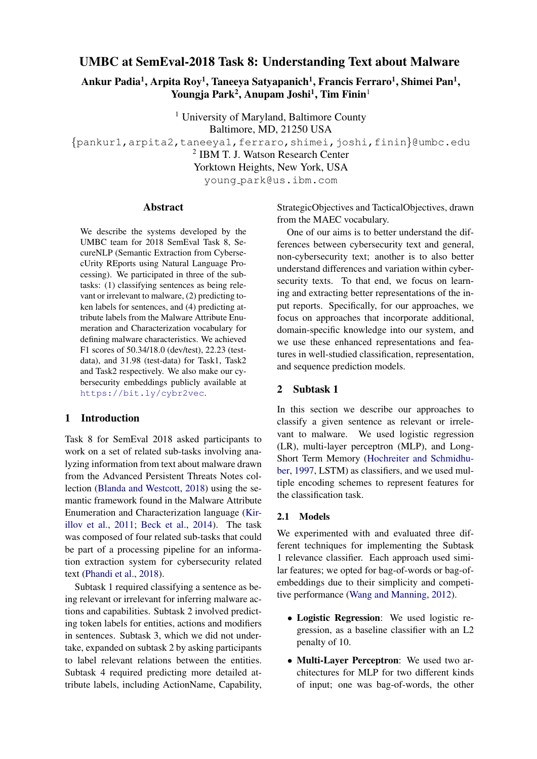# UMBC at SemEval-2018 Task 8: Understanding Text about Malware

Ankur Padia $^1$ , Arpita Roy $^1$ , Taneeya Satyapanich $^1$ , Francis Ferraro $^1$ , Shimei Pan $^1$ , Youngja Park<sup>2</sup>, Anupam Joshi<sup>1</sup>, Tim Finin<sup>1</sup>

<sup>1</sup> University of Maryland, Baltimore County Baltimore, MD, 21250 USA {pankur1,arpita2,taneeya1,ferraro,shimei,joshi,finin}@umbc.edu 2 IBM T. J. Watson Research Center Yorktown Heights, New York, USA young park@us.ibm.com

## Abstract

We describe the systems developed by the UMBC team for 2018 SemEval Task 8, SecureNLP (Semantic Extraction from CybersecUrity REports using Natural Language Processing). We participated in three of the subtasks: (1) classifying sentences as being relevant or irrelevant to malware, (2) predicting token labels for sentences, and (4) predicting attribute labels from the Malware Attribute Enumeration and Characterization vocabulary for defining malware characteristics. We achieved F1 scores of 50.34/18.0 (dev/test), 22.23 (testdata), and 31.98 (test-data) for Task1, Task2 and Task2 respectively. We also make our cybersecurity embeddings publicly available at <https://bit.ly/cybr2vec>.

## 1 Introduction

Task 8 for SemEval 2018 asked participants to work on a set of related sub-tasks involving analyzing information from text about malware drawn from the Advanced Persistent Threats Notes collection [\(Blanda and Westcott,](#page-5-0) [2018\)](#page-5-0) using the semantic framework found in the Malware Attribute Enumeration and Characterization language [\(Kir](#page-5-1)[illov et al.,](#page-5-1) [2011;](#page-5-1) [Beck et al.,](#page-5-2) [2014\)](#page-5-2). The task was composed of four related sub-tasks that could be part of a processing pipeline for an information extraction system for cybersecurity related text [\(Phandi et al.,](#page-6-0) [2018\)](#page-6-0).

Subtask 1 required classifying a sentence as being relevant or irrelevant for inferring malware actions and capabilities. Subtask 2 involved predicting token labels for entities, actions and modifiers in sentences. Subtask 3, which we did not undertake, expanded on subtask 2 by asking participants to label relevant relations between the entities. Subtask 4 required predicting more detailed attribute labels, including ActionName, Capability, StrategicObjectives and TacticalObjectives, drawn from the MAEC vocabulary.

One of our aims is to better understand the differences between cybersecurity text and general, non-cybersecurity text; another is to also better understand differences and variation within cybersecurity texts. To that end, we focus on learning and extracting better representations of the input reports. Specifically, for our approaches, we focus on approaches that incorporate additional, domain-specific knowledge into our system, and we use these enhanced representations and features in well-studied classification, representation, and sequence prediction models.

## 2 Subtask 1

In this section we describe our approaches to classify a given sentence as relevant or irrelevant to malware. We used logistic regression (LR), multi-layer perceptron (MLP), and Long-Short Term Memory [\(Hochreiter and Schmidhu](#page-5-3)[ber,](#page-5-3) [1997,](#page-5-3) LSTM) as classifiers, and we used multiple encoding schemes to represent features for the classification task.

#### 2.1 Models

We experimented with and evaluated three different techniques for implementing the Subtask 1 relevance classifier. Each approach used similar features; we opted for bag-of-words or bag-ofembeddings due to their simplicity and competitive performance [\(Wang and Manning,](#page-6-1) [2012\)](#page-6-1).

- Logistic Regression: We used logistic regression, as a baseline classifier with an L2 penalty of 10.
- Multi-Layer Perceptron: We used two architectures for MLP for two different kinds of input; one was bag-of-words, the other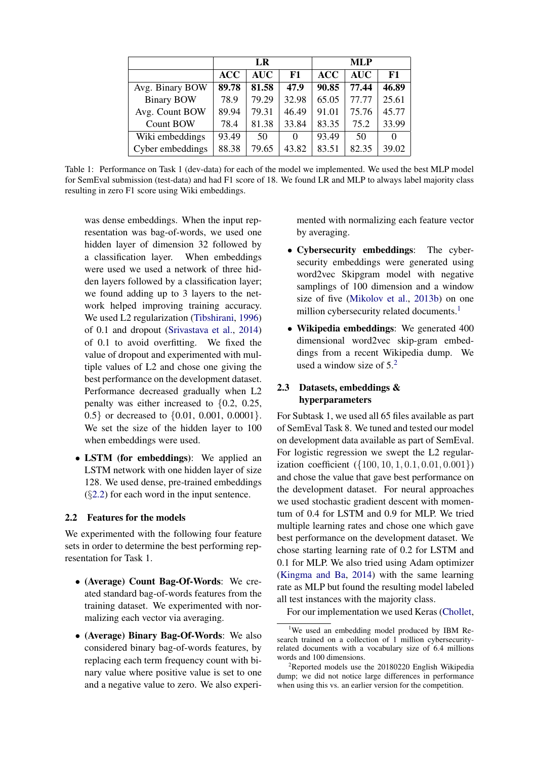|                   | LR         |            |       | <b>MLP</b> |            |          |
|-------------------|------------|------------|-------|------------|------------|----------|
|                   | <b>ACC</b> | <b>AUC</b> | F1    | <b>ACC</b> | <b>AUC</b> | F1       |
| Avg. Binary BOW   | 89.78      | 81.58      | 47.9  | 90.85      | 77.44      | 46.89    |
| <b>Binary BOW</b> | 78.9       | 79.29      | 32.98 | 65.05      | 77.77      | 25.61    |
| Avg. Count BOW    | 89.94      | 79.31      | 46.49 | 91.01      | 75.76      | 45.77    |
| <b>Count BOW</b>  | 78.4       | 81.38      | 33.84 | 83.35      | 75.2       | 33.99    |
| Wiki embeddings   | 93.49      | 50         | 0     | 93.49      | 50         | $\Omega$ |
| Cyber embeddings  | 88.38      | 79.65      | 43.82 | 83.51      | 82.35      | 39.02    |

<span id="page-1-3"></span>Table 1: Performance on Task 1 (dev-data) for each of the model we implemented. We used the best MLP model for SemEval submission (test-data) and had F1 score of 18. We found LR and MLP to always label majority class resulting in zero F1 score using Wiki embeddings.

was dense embeddings. When the input representation was bag-of-words, we used one hidden layer of dimension 32 followed by a classification layer. When embeddings were used we used a network of three hidden layers followed by a classification layer; we found adding up to 3 layers to the network helped improving training accuracy. We used L2 regularization [\(Tibshirani,](#page-6-2) [1996\)](#page-6-2) of 0.1 and dropout [\(Srivastava et al.,](#page-6-3) [2014\)](#page-6-3) of 0.1 to avoid overfitting. We fixed the value of dropout and experimented with multiple values of L2 and chose one giving the best performance on the development dataset. Performance decreased gradually when L2 penalty was either increased to {0.2, 0.25, 0.5} or decreased to {0.01, 0.001, 0.0001}. We set the size of the hidden layer to 100 when embeddings were used.

• LSTM (for embeddings): We applied an LSTM network with one hidden layer of size 128. We used dense, pre-trained embeddings  $(\S2.2)$  $(\S2.2)$  for each word in the input sentence.

## <span id="page-1-0"></span>2.2 Features for the models

We experimented with the following four feature sets in order to determine the best performing representation for Task 1.

- (Average) Count Bag-Of-Words: We created standard bag-of-words features from the training dataset. We experimented with normalizing each vector via averaging.
- (Average) Binary Bag-Of-Words: We also considered binary bag-of-words features, by replacing each term frequency count with binary value where positive value is set to one and a negative value to zero. We also experi-

mented with normalizing each feature vector by averaging.

- Cybersecurity embeddings: The cybersecurity embeddings were generated using word2vec Skipgram model with negative samplings of 100 dimension and a window size of five [\(Mikolov et al.,](#page-5-4) [2013b\)](#page-5-4) on one million cybersecurity related documents.<sup>[1](#page-1-1)</sup>
- Wikipedia embeddings: We generated 400 dimensional word2vec skip-gram embeddings from a recent Wikipedia dump. We used a window size of  $5^2$  $5^2$

## 2.3 Datasets, embeddings & hyperparameters

For Subtask 1, we used all 65 files available as part of SemEval Task 8. We tuned and tested our model on development data available as part of SemEval. For logistic regression we swept the L2 regularization coefficient  $({100, 10, 1, 0.1, 0.01, 0.001})$ and chose the value that gave best performance on the development dataset. For neural approaches we used stochastic gradient descent with momentum of 0.4 for LSTM and 0.9 for MLP. We tried multiple learning rates and chose one which gave best performance on the development dataset. We chose starting learning rate of 0.2 for LSTM and 0.1 for MLP. We also tried using Adam optimizer [\(Kingma and Ba,](#page-5-5) [2014\)](#page-5-5) with the same learning rate as MLP but found the resulting model labeled all test instances with the majority class.

For our implementation we used Keras [\(Chollet,](#page-5-6)

<span id="page-1-1"></span><sup>&</sup>lt;sup>1</sup>We used an embedding model produced by IBM Research trained on a collection of 1 million cybersecurityrelated documents with a vocabulary size of 6.4 millions words and 100 dimensions.

<span id="page-1-2"></span><sup>2</sup>Reported models use the 20180220 English Wikipedia dump; we did not notice large differences in performance when using this vs. an earlier version for the competition.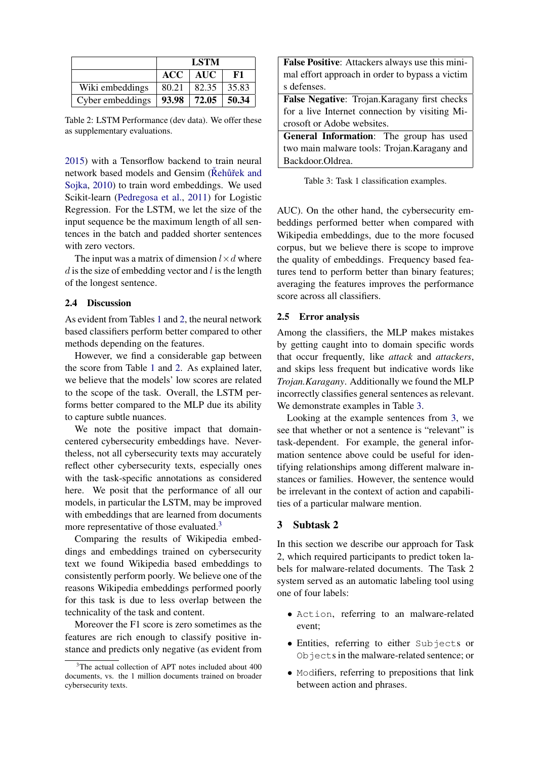|                  | <b>LSTM</b> |                 |       |  |
|------------------|-------------|-----------------|-------|--|
|                  | <b>ACC</b>  | <b>AUC</b>      | F1    |  |
| Wiki embeddings  | 80.21       | 82.35           | 35.83 |  |
| Cyber embeddings |             | $93.98$   72.05 | 50.34 |  |

<span id="page-2-0"></span>Table 2: LSTM Performance (dev data). We offer these as supplementary evaluations.

[2015\)](#page-5-6) with a Tensorflow backend to train neural network based models and Gensim (Řehůřek and [Sojka,](#page-6-4) [2010\)](#page-6-4) to train word embeddings. We used Scikit-learn [\(Pedregosa et al.,](#page-6-5) [2011\)](#page-6-5) for Logistic Regression. For the LSTM, we let the size of the input sequence be the maximum length of all sentences in the batch and padded shorter sentences with zero vectors.

The input was a matrix of dimension  $l \times d$  where  $d$  is the size of embedding vector and  $l$  is the length of the longest sentence.

## 2.4 Discussion

As evident from Tables [1](#page-1-3) and [2,](#page-2-0) the neural network based classifiers perform better compared to other methods depending on the features.

However, we find a considerable gap between the score from Table [1](#page-1-3) and [2.](#page-2-0) As explained later, we believe that the models' low scores are related to the scope of the task. Overall, the LSTM performs better compared to the MLP due its ability to capture subtle nuances.

We note the positive impact that domaincentered cybersecurity embeddings have. Nevertheless, not all cybersecurity texts may accurately reflect other cybersecurity texts, especially ones with the task-specific annotations as considered here. We posit that the performance of all our models, in particular the LSTM, may be improved with embeddings that are learned from documents more representative of those evaluated.<sup>[3](#page-2-1)</sup>

Comparing the results of Wikipedia embeddings and embeddings trained on cybersecurity text we found Wikipedia based embeddings to consistently perform poorly. We believe one of the reasons Wikipedia embeddings performed poorly for this task is due to less overlap between the technicality of the task and content.

Moreover the F1 score is zero sometimes as the features are rich enough to classify positive instance and predicts only negative (as evident from

| <b>False Positive:</b> Attackers always use this mini- |  |  |
|--------------------------------------------------------|--|--|
| mal effort approach in order to bypass a victim        |  |  |
| s defenses.                                            |  |  |
| False Negative: Trojan. Karagany first checks          |  |  |
| for a live Internet connection by visiting Mi-         |  |  |
| crosoft or Adobe websites.                             |  |  |
| <b>General Information:</b> The group has used         |  |  |
| two main malware tools: Trojan. Karagany and           |  |  |
| Backdoor.Oldrea.                                       |  |  |

<span id="page-2-2"></span>Table 3: Task 1 classification examples.

AUC). On the other hand, the cybersecurity embeddings performed better when compared with Wikipedia embeddings, due to the more focused corpus, but we believe there is scope to improve the quality of embeddings. Frequency based features tend to perform better than binary features; averaging the features improves the performance score across all classifiers.

#### 2.5 Error analysis

Among the classifiers, the MLP makes mistakes by getting caught into to domain specific words that occur frequently, like *attack* and *attackers*, and skips less frequent but indicative words like *Trojan.Karagany*. Additionally we found the MLP incorrectly classifies general sentences as relevant. We demonstrate examples in Table [3.](#page-2-2)

Looking at the example sentences from [3,](#page-2-2) we see that whether or not a sentence is "relevant" is task-dependent. For example, the general information sentence above could be useful for identifying relationships among different malware instances or families. However, the sentence would be irrelevant in the context of action and capabilities of a particular malware mention.

#### 3 Subtask 2

In this section we describe our approach for Task 2, which required participants to predict token labels for malware-related documents. The Task 2 system served as an automatic labeling tool using one of four labels:

- Action, referring to an malware-related event;
- Entities, referring to either Subjects or Objects in the malware-related sentence; or
- Modifiers, referring to prepositions that link between action and phrases.

<span id="page-2-1"></span><sup>&</sup>lt;sup>3</sup>The actual collection of APT notes included about 400 documents, vs. the 1 million documents trained on broader cybersecurity texts.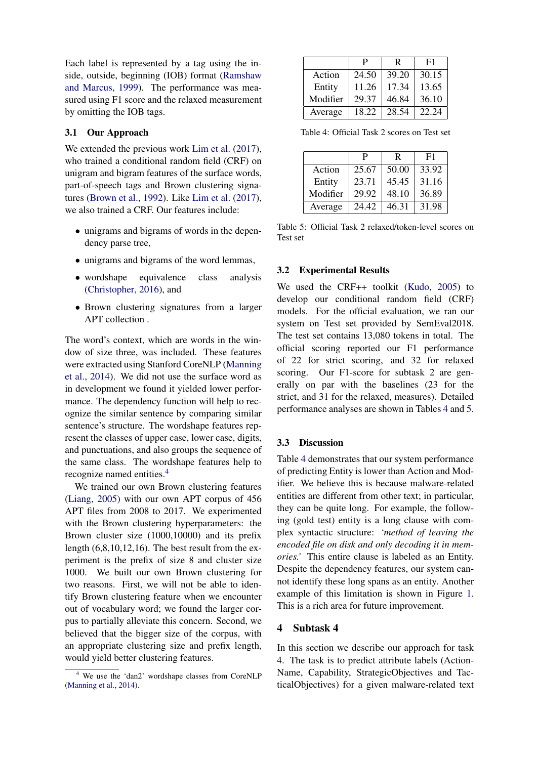Each label is represented by a tag using the inside, outside, beginning (IOB) format [\(Ramshaw](#page-6-6) [and Marcus,](#page-6-6) [1999\)](#page-6-6). The performance was measured using F1 score and the relaxed measurement by omitting the IOB tags.

# 3.1 Our Approach

We extended the previous work [Lim et al.](#page-5-7)  $(2017)$ , who trained a conditional random field (CRF) on unigram and bigram features of the surface words, part-of-speech tags and Brown clustering signatures [\(Brown et al.,](#page-5-8) [1992\)](#page-5-8). Like [Lim et al.](#page-5-7) [\(2017\)](#page-5-7), we also trained a CRF. Our features include:

- unigrams and bigrams of words in the dependency parse tree,
- unigrams and bigrams of the word lemmas,
- wordshape equivalence class analysis [\(Christopher,](#page-5-9) [2016\)](#page-5-9), and
- Brown clustering signatures from a larger APT collection .

The word's context, which are words in the window of size three, was included. These features were extracted using Stanford CoreNLP [\(Manning](#page-5-10) [et al.,](#page-5-10) [2014\)](#page-5-10). We did not use the surface word as in development we found it yielded lower performance. The dependency function will help to recognize the similar sentence by comparing similar sentence's structure. The wordshape features represent the classes of upper case, lower case, digits, and punctuations, and also groups the sequence of the same class. The wordshape features help to recognize named entities.[4](#page-3-0)

We trained our own Brown clustering features [\(Liang,](#page-5-11) [2005\)](#page-5-11) with our own APT corpus of 456 APT files from 2008 to 2017. We experimented with the Brown clustering hyperparameters: the Brown cluster size (1000,10000) and its prefix length (6,8,10,12,16). The best result from the experiment is the prefix of size 8 and cluster size 1000. We built our own Brown clustering for two reasons. First, we will not be able to identify Brown clustering feature when we encounter out of vocabulary word; we found the larger corpus to partially alleviate this concern. Second, we believed that the bigger size of the corpus, with an appropriate clustering size and prefix length, would yield better clustering features.

|          | P     | R     | F1    |
|----------|-------|-------|-------|
| Action   | 24.50 | 39.20 | 30.15 |
| Entity   | 11.26 | 17.34 | 13.65 |
| Modifier | 29.37 | 46.84 | 36.10 |
| Average  | 18.22 | 28.54 | 22.24 |

<span id="page-3-1"></span>Table 4: Official Task 2 scores on Test set

|          | P     | R     | F1    |
|----------|-------|-------|-------|
| Action   | 25.67 | 50.00 | 33.92 |
| Entity   | 23.71 | 45.45 | 31.16 |
| Modifier | 29.92 | 48.10 | 36.89 |
| Average  | 24.42 | 46.31 | 31.98 |

<span id="page-3-2"></span>Table 5: Official Task 2 relaxed/token-level scores on Test set

## 3.2 Experimental Results

We used the CRF++ toolkit [\(Kudo,](#page-5-12) [2005\)](#page-5-12) to develop our conditional random field (CRF) models. For the official evaluation, we ran our system on Test set provided by SemEval2018. The test set contains 13,080 tokens in total. The official scoring reported our F1 performance of 22 for strict scoring, and 32 for relaxed scoring. Our F1-score for subtask 2 are generally on par with the baselines (23 for the strict, and 31 for the relaxed, measures). Detailed performance analyses are shown in Tables [4](#page-3-1) and [5.](#page-3-2)

#### 3.3 Discussion

Table [4](#page-3-1) demonstrates that our system performance of predicting Entity is lower than Action and Modifier. We believe this is because malware-related entities are different from other text; in particular, they can be quite long. For example, the following (gold test) entity is a long clause with complex syntactic structure: *'method of leaving the encoded file on disk and only decoding it in memories.'* This entire clause is labeled as an Entity. Despite the dependency features, our system cannot identify these long spans as an entity. Another example of this limitation is shown in Figure [1.](#page-4-0) This is a rich area for future improvement.

## 4 Subtask 4

In this section we describe our approach for task 4. The task is to predict attribute labels (Action-Name, Capability, StrategicObjectives and TacticalObjectives) for a given malware-related text

<span id="page-3-0"></span><sup>4</sup> We use the 'dan2' wordshape classes from CoreNLP [\(Manning et al.,](#page-5-10) [2014\)](#page-5-10).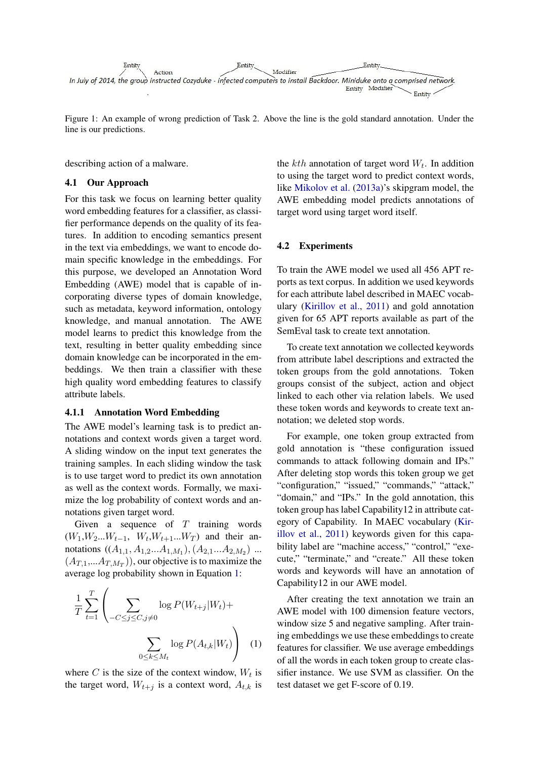

<span id="page-4-0"></span>Figure 1: An example of wrong prediction of Task 2. Above the line is the gold standard annotation. Under the line is our predictions.

describing action of a malware.

#### 4.1 Our Approach

For this task we focus on learning better quality word embedding features for a classifier, as classifier performance depends on the quality of its features. In addition to encoding semantics present in the text via embeddings, we want to encode domain specific knowledge in the embeddings. For this purpose, we developed an Annotation Word Embedding (AWE) model that is capable of incorporating diverse types of domain knowledge, such as metadata, keyword information, ontology knowledge, and manual annotation. The AWE model learns to predict this knowledge from the text, resulting in better quality embedding since domain knowledge can be incorporated in the embeddings. We then train a classifier with these high quality word embedding features to classify attribute labels.

## 4.1.1 Annotation Word Embedding

The AWE model's learning task is to predict annotations and context words given a target word. A sliding window on the input text generates the training samples. In each sliding window the task is to use target word to predict its own annotation as well as the context words. Formally, we maximize the log probability of context words and annotations given target word.

Given a sequence of  $T$  training words  $(W_1, W_2...W_{t-1}, W_t, W_{t+1}...W_T)$  and their annotations  $((A_{1,1}, A_{1,2}...A_{1,M_1}), (A_{2,1}...A_{2,M_2})$  ...  $(A_{T,1},...A_{T,M_T})$ , our objective is to maximize the average log probability shown in Equation [1:](#page-4-1)

$$
\frac{1}{T} \sum_{t=1}^{T} \left( \sum_{-C \leq j \leq C, j \neq 0} \log P(W_{t+j}|W_t) + \sum_{0 \leq k \leq M_t} \log P(A_{t,k}|W_t) \right) \tag{1}
$$

where C is the size of the context window,  $W_t$  is the target word,  $W_{t+j}$  is a context word,  $A_{t,k}$  is

the  $kth$  annotation of target word  $W_t$ . In addition to using the target word to predict context words, like [Mikolov et al.](#page-5-13) [\(2013a\)](#page-5-13)'s skipgram model, the AWE embedding model predicts annotations of target word using target word itself.

#### 4.2 Experiments

To train the AWE model we used all 456 APT reports as text corpus. In addition we used keywords for each attribute label described in MAEC vocabulary [\(Kirillov et al.,](#page-5-1) [2011\)](#page-5-1) and gold annotation given for 65 APT reports available as part of the SemEval task to create text annotation.

To create text annotation we collected keywords from attribute label descriptions and extracted the token groups from the gold annotations. Token groups consist of the subject, action and object linked to each other via relation labels. We used these token words and keywords to create text annotation; we deleted stop words.

For example, one token group extracted from gold annotation is "these configuration issued commands to attack following domain and IPs." After deleting stop words this token group we get "configuration," "issued," "commands," "attack," "domain," and "IPs." In the gold annotation, this token group has label Capability12 in attribute category of Capability. In MAEC vocabulary [\(Kir](#page-5-1)[illov et al.,](#page-5-1) [2011\)](#page-5-1) keywords given for this capability label are "machine access," "control," "execute," "terminate," and "create." All these token words and keywords will have an annotation of Capability12 in our AWE model.

<span id="page-4-1"></span>After creating the text annotation we train an AWE model with 100 dimension feature vectors, window size 5 and negative sampling. After training embeddings we use these embeddings to create features for classifier. We use average embeddings of all the words in each token group to create classifier instance. We use SVM as classifier. On the test dataset we get F-score of 0.19.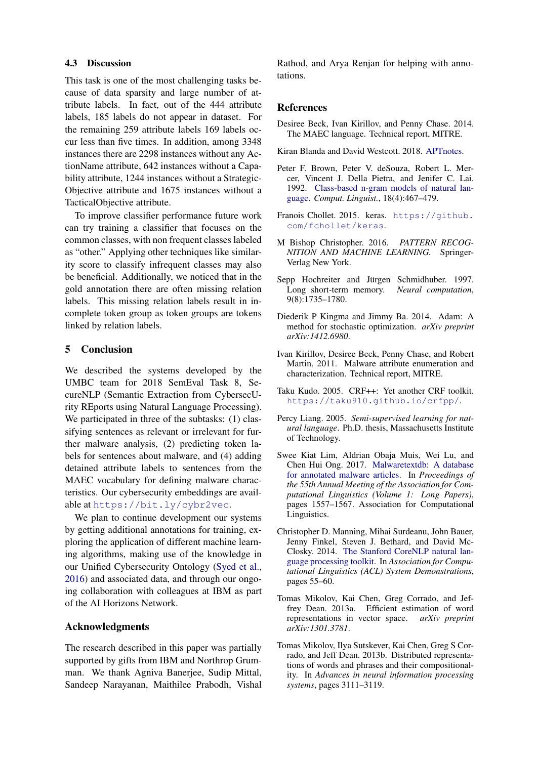#### 4.3 Discussion

This task is one of the most challenging tasks because of data sparsity and large number of attribute labels. In fact, out of the 444 attribute labels, 185 labels do not appear in dataset. For the remaining 259 attribute labels 169 labels occur less than five times. In addition, among 3348 instances there are 2298 instances without any ActionName attribute, 642 instances without a Capability attribute, 1244 instances without a Strategic-Objective attribute and 1675 instances without a TacticalObjective attribute.

To improve classifier performance future work can try training a classifier that focuses on the common classes, with non frequent classes labeled as "other." Applying other techniques like similarity score to classify infrequent classes may also be beneficial. Additionally, we noticed that in the gold annotation there are often missing relation labels. This missing relation labels result in incomplete token group as token groups are tokens linked by relation labels.

# 5 Conclusion

We described the systems developed by the UMBC team for 2018 SemEval Task 8, SecureNLP (Semantic Extraction from CybersecUrity REports using Natural Language Processing). We participated in three of the subtasks: (1) classifying sentences as relevant or irrelevant for further malware analysis, (2) predicting token labels for sentences about malware, and (4) adding detained attribute labels to sentences from the MAEC vocabulary for defining malware characteristics. Our cybersecurity embeddings are available at <https://bit.ly/cybr2vec>.

We plan to continue development our systems by getting additional annotations for training, exploring the application of different machine learning algorithms, making use of the knowledge in our Unified Cybersecurity Ontology [\(Syed et al.,](#page-6-7) [2016\)](#page-6-7) and associated data, and through our ongoing collaboration with colleagues at IBM as part of the AI Horizons Network.

## Acknowledgments

The research described in this paper was partially supported by gifts from IBM and Northrop Grumman. We thank Agniva Banerjee, Sudip Mittal, Sandeep Narayanan, Maithilee Prabodh, Vishal

Rathod, and Arya Renjan for helping with annotations.

## References

- <span id="page-5-2"></span>Desiree Beck, Ivan Kirillov, and Penny Chase. 2014. The MAEC language. Technical report, MITRE.
- <span id="page-5-0"></span>Kiran Blanda and David Westcott. 2018. [APTnotes.](https://github.com/aptnotes/)
- <span id="page-5-8"></span>Peter F. Brown, Peter V. deSouza, Robert L. Mercer, Vincent J. Della Pietra, and Jenifer C. Lai. 1992. [Class-based n-gram models of natural lan](http://dl.acm.org/citation.cfm?id=176313.176316)[guage.](http://dl.acm.org/citation.cfm?id=176313.176316) *Comput. Linguist.*, 18(4):467–479.
- <span id="page-5-6"></span>Franois Chollet. 2015. keras. [https://github.](https://github.com/fchollet/keras) [com/fchollet/keras](https://github.com/fchollet/keras).
- <span id="page-5-9"></span>M Bishop Christopher. 2016. *PATTERN RECOG-NITION AND MACHINE LEARNING.* Springer-Verlag New York.
- <span id="page-5-3"></span>Sepp Hochreiter and Jürgen Schmidhuber. 1997. Long short-term memory. *Neural computation*, 9(8):1735–1780.
- <span id="page-5-5"></span>Diederik P Kingma and Jimmy Ba. 2014. Adam: A method for stochastic optimization. *arXiv preprint arXiv:1412.6980*.
- <span id="page-5-1"></span>Ivan Kirillov, Desiree Beck, Penny Chase, and Robert Martin. 2011. Malware attribute enumeration and characterization. Technical report, MITRE.
- <span id="page-5-12"></span>Taku Kudo. 2005. CRF++: Yet another CRF toolkit. <https://taku910.github.io/crfpp/>.
- <span id="page-5-11"></span>Percy Liang. 2005. *Semi-supervised learning for natural language*. Ph.D. thesis, Massachusetts Institute of Technology.
- <span id="page-5-7"></span>Swee Kiat Lim, Aldrian Obaja Muis, Wei Lu, and Chen Hui Ong. 2017. [Malwaretextdb: A database](https://doi.org/10.18653/v1/P17-1143) [for annotated malware articles.](https://doi.org/10.18653/v1/P17-1143) In *Proceedings of the 55th Annual Meeting of the Association for Computational Linguistics (Volume 1: Long Papers)*, pages 1557–1567. Association for Computational Linguistics.
- <span id="page-5-10"></span>Christopher D. Manning, Mihai Surdeanu, John Bauer, Jenny Finkel, Steven J. Bethard, and David Mc-Closky. 2014. [The Stanford CoreNLP natural lan](http://www.aclweb.org/anthology/P/P14/P14-5010)[guage processing toolkit.](http://www.aclweb.org/anthology/P/P14/P14-5010) In *Association for Computational Linguistics (ACL) System Demonstrations*, pages 55–60.
- <span id="page-5-13"></span>Tomas Mikolov, Kai Chen, Greg Corrado, and Jeffrey Dean. 2013a. Efficient estimation of word representations in vector space. *arXiv preprint arXiv:1301.3781*.
- <span id="page-5-4"></span>Tomas Mikolov, Ilya Sutskever, Kai Chen, Greg S Corrado, and Jeff Dean. 2013b. Distributed representations of words and phrases and their compositionality. In *Advances in neural information processing systems*, pages 3111–3119.